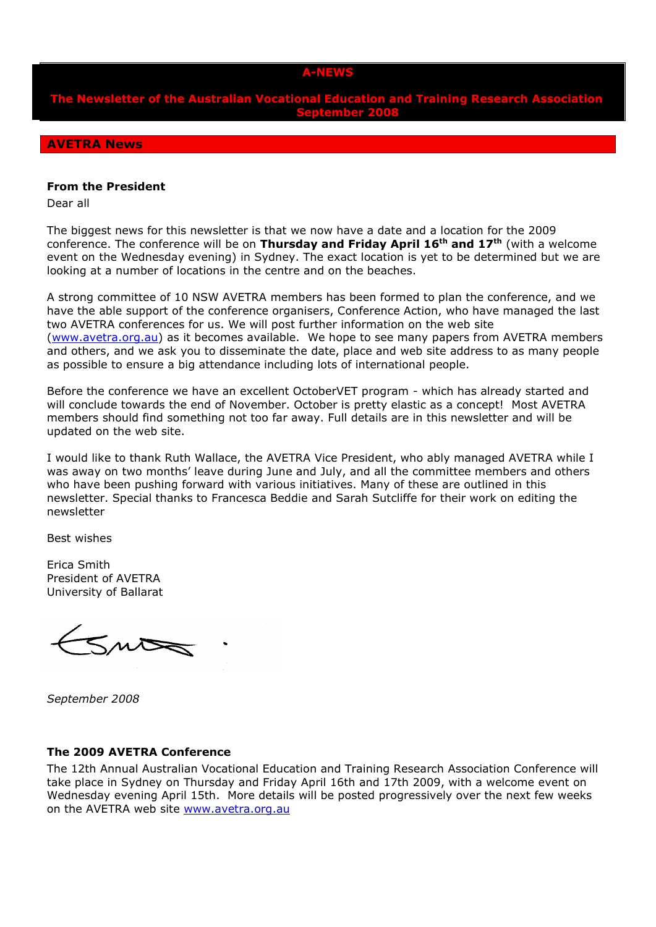#### **A-NEWS**

**The Newsletter of the Australian Vocational Education and Training Research Association September 2008**

### **AVETRA News**

#### **From the President**

Dear all

The biggest news for this newsletter is that we now have a date and a location for the 2009 conference. The conference will be on **Thursday and Friday April 16th and 17th** (with a welcome event on the Wednesday evening) in Sydney. The exact location is yet to be determined but we are looking at a number of locations in the centre and on the beaches.

A strong committee of 10 NSW AVETRA members has been formed to plan the conference, and we have the able support of the conference organisers, Conference Action, who have managed the last two AVETRA conferences for us. We will post further information on the web site [\(www.avetra.org.au\)](http://www.avetra.org.au/) as it becomes available. We hope to see many papers from AVETRA members and others, and we ask you to disseminate the date, place and web site address to as many people as possible to ensure a big attendance including lots of international people.

Before the conference we have an excellent OctoberVET program - which has already started and will conclude towards the end of November. October is pretty elastic as a concept! Most AVETRA members should find something not too far away. Full details are in this newsletter and will be updated on the web site.

I would like to thank Ruth Wallace, the AVETRA Vice President, who ably managed AVETRA while I was away on two months' leave during June and July, and all the committee members and others who have been pushing forward with various initiatives. Many of these are outlined in this newsletter. Special thanks to Francesca Beddie and Sarah Sutcliffe for their work on editing the newsletter

Best wishes

Erica Smith President of AVETRA University of Ballarat

 $5n5$ 

*September 2008*

#### **The 2009 AVETRA Conference**

The 12th Annual Australian Vocational Education and Training Research Association Conference will take place in Sydney on Thursday and Friday April 16th and 17th 2009, with a welcome event on Wednesday evening April 15th. More details will be posted progressively over the next few weeks on the AVETRA web site [www.avetra.org.au](file:///C:/Documents%20and%20Settings/FrancescaBeddie.NCVER/Local%20Settings/Temp/11/XPGrpwise/www.avetra.org.au)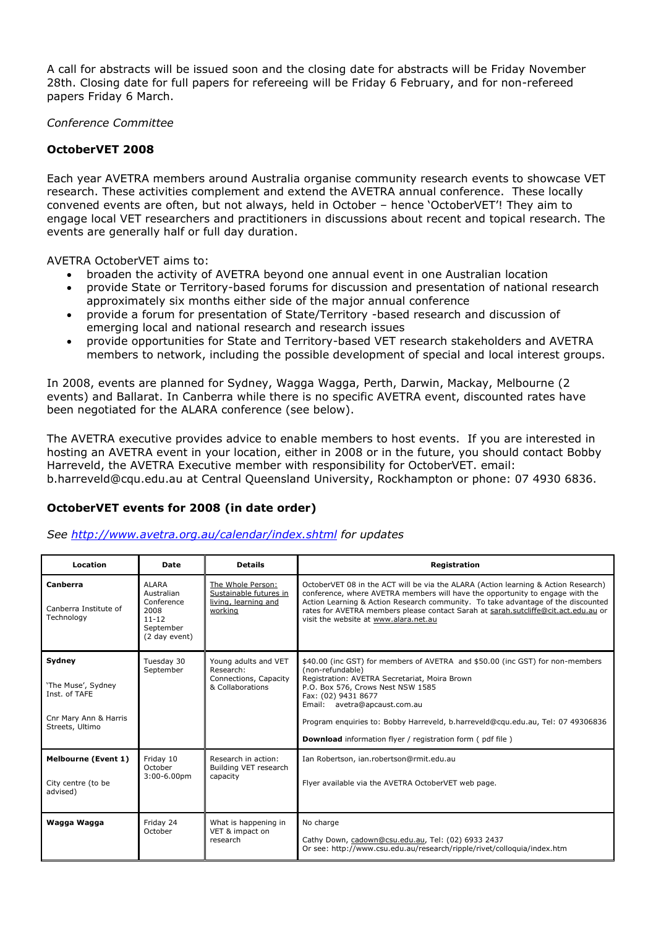A call for abstracts will be issued soon and the closing date for abstracts will be Friday November 28th. Closing date for full papers for refereeing will be Friday 6 February, and for non-refereed papers Friday 6 March.

### *Conference Committee*

## **OctoberVET 2008**

Each year AVETRA members around Australia organise community research events to showcase VET research. These activities complement and extend the AVETRA annual conference. These locally convened events are often, but not always, held in October – hence 'OctoberVET'! They aim to engage local VET researchers and practitioners in discussions about recent and topical research. The events are generally half or full day duration.

AVETRA OctoberVET aims to:

- broaden the activity of AVETRA beyond one annual event in one Australian location
- provide State or Territory-based forums for discussion and presentation of national research approximately six months either side of the major annual conference
- provide a forum for presentation of State/Territory -based research and discussion of emerging local and national research and research issues
- provide opportunities for State and Territory-based VET research stakeholders and AVETRA members to network, including the possible development of special and local interest groups.

In 2008, events are planned for Sydney, Wagga Wagga, Perth, Darwin, Mackay, Melbourne (2 events) and Ballarat. In Canberra while there is no specific AVETRA event, discounted rates have been negotiated for the ALARA conference (see below).

The AVETRA executive provides advice to enable members to host events. If you are interested in hosting an AVETRA event in your location, either in 2008 or in the future, you should contact Bobby Harreveld, the AVETRA Executive member with responsibility for OctoberVET. email: [b.harreveld@cqu.edu.au](mailto:b.harreveld@cqu.edu.au) at Central Queensland University, Rockhampton or phone: 07 4930 6836.

# **OctoberVET events for 2008 (in date order)**

*See<http://www.avetra.org.au/calendar/index.shtml> for updates*

| Location                                                                                  | Date                                                                                        | <b>Details</b>                                                                 | Registration                                                                                                                                                                                                                                                                                                                                                                                          |
|-------------------------------------------------------------------------------------------|---------------------------------------------------------------------------------------------|--------------------------------------------------------------------------------|-------------------------------------------------------------------------------------------------------------------------------------------------------------------------------------------------------------------------------------------------------------------------------------------------------------------------------------------------------------------------------------------------------|
| Canberra<br>Canberra Institute of<br>Technology                                           | <b>ALARA</b><br>Australian<br>Conference<br>2008<br>$11 - 12$<br>September<br>(2 day event) | The Whole Person:<br>Sustainable futures in<br>living, learning and<br>working | OctoberVET 08 in the ACT will be via the ALARA (Action learning & Action Research)<br>conference, where AVETRA members will have the opportunity to engage with the<br>Action Learning & Action Research community. To take advantage of the discounted<br>rates for AVETRA members please contact Sarah at sarah.sutcliffe@cit.act.edu.au or<br>visit the website at www.alara.net.au                |
| Sydney<br>'The Muse', Sydney<br>Inst. of TAFE<br>Cnr Mary Ann & Harris<br>Streets, Ultimo | Tuesday 30<br>September                                                                     | Young adults and VET<br>Research:<br>Connections, Capacity<br>& Collaborations | \$40.00 (inc GST) for members of AVETRA and \$50.00 (inc GST) for non-members<br>(non-refundable)<br>Registration: AVETRA Secretariat, Moira Brown<br>P.O. Box 576, Crows Nest NSW 1585<br>Fax: (02) 9431 8677<br>Email: avetra@apcaust.com.au<br>Program enguiries to: Bobby Harreveld, b.harreveld@cqu.edu.au, Tel: 07 49306836<br><b>Download</b> information flyer / registration form (pdf file) |
| <b>Melbourne (Event 1)</b><br>City centre (to be<br>advised)                              | Friday 10<br>October<br>$3:00-6.00$ pm                                                      | Research in action:<br>Building VET research<br>capacity                       | Ian Robertson, ian.robertson@rmit.edu.au<br>Flyer available via the AVETRA OctoberVET web page.                                                                                                                                                                                                                                                                                                       |
| Wagga Wagga                                                                               | Friday 24<br>October                                                                        | What is happening in<br>VET & impact on<br>research                            | No charge<br>Cathy Down, cadown@csu.edu.au, Tel: (02) 6933 2437<br>Or see: http://www.csu.edu.au/research/ripple/rivet/colloquia/index.htm                                                                                                                                                                                                                                                            |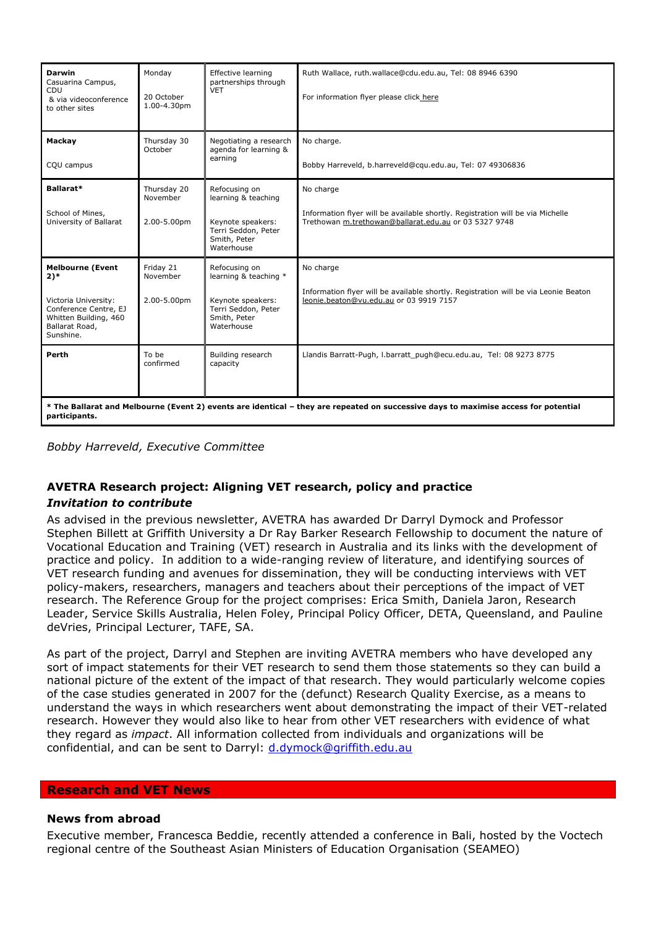| <b>Darwin</b><br>Casuarina Campus,<br><b>CDU</b><br>& via videoconference<br>to other sites                                                          | Monday<br>20 October<br>1.00-4.30pm    | Effective learning<br>partnerships through<br><b>VET</b>                                                         | Ruth Wallace, ruth.wallace@cdu.edu.au, Tel: 08 8946 6390<br>For information flyer please click here                                                  |  |  |
|------------------------------------------------------------------------------------------------------------------------------------------------------|----------------------------------------|------------------------------------------------------------------------------------------------------------------|------------------------------------------------------------------------------------------------------------------------------------------------------|--|--|
| Mackay<br>CQU campus                                                                                                                                 | Thursday 30<br>October                 | Negotiating a research<br>agenda for learning &<br>earning                                                       | No charge.<br>Bobby Harreveld, b.harreveld@cqu.edu.au, Tel: 07 49306836                                                                              |  |  |
| Ballarat*<br>School of Mines,<br>University of Ballarat                                                                                              | Thursday 20<br>November<br>2.00-5.00pm | Refocusing on<br>learning & teaching<br>Keynote speakers:<br>Terri Seddon, Peter<br>Smith, Peter<br>Waterhouse   | No charge<br>Information flyer will be available shortly. Registration will be via Michelle<br>Trethowan m.trethowan@ballarat.edu.au or 03 5327 9748 |  |  |
| <b>Melbourne (Event</b><br>$2)$ *<br>Victoria University:<br>Conference Centre, EJ<br>Whitten Building, 460<br>Ballarat Road,<br>Sunshine.           | Friday 21<br>November<br>2.00-5.00pm   | Refocusing on<br>learning & teaching *<br>Keynote speakers:<br>Terri Seddon, Peter<br>Smith, Peter<br>Waterhouse | No charge<br>Information flyer will be available shortly. Registration will be via Leonie Beaton<br>leonie.beaton@vu.edu.au or 03 9919 7157          |  |  |
| Perth                                                                                                                                                | To be<br>confirmed                     | Building research<br>capacity                                                                                    | Llandis Barratt-Pugh, I.barratt pugh@ecu.edu.au, Tel: 08 9273 8775                                                                                   |  |  |
| * The Ballarat and Melbourne (Event 2) events are identical – they are repeated on successive days to maximise access for potential<br>participants. |                                        |                                                                                                                  |                                                                                                                                                      |  |  |

*Bobby Harreveld, Executive Committee*

## **AVETRA Research project: Aligning VET research, policy and practice**

### *Invitation to contribute*

As advised in the previous newsletter, AVETRA has awarded Dr Darryl Dymock and Professor Stephen Billett at Griffith University a Dr Ray Barker Research Fellowship to document the nature of Vocational Education and Training (VET) research in Australia and its links with the development of practice and policy. In addition to a wide-ranging review of literature, and identifying sources of VET research funding and avenues for dissemination, they will be conducting interviews with VET policy-makers, researchers, managers and teachers about their perceptions of the impact of VET research. The Reference Group for the project comprises: Erica Smith, Daniela Jaron, Research Leader, Service Skills Australia, Helen Foley, Principal Policy Officer, DETA, Queensland, and Pauline deVries, Principal Lecturer, TAFE, SA.

As part of the project, Darryl and Stephen are inviting AVETRA members who have developed any sort of impact statements for their VET research to send them those statements so they can build a national picture of the extent of the impact of that research. They would particularly welcome copies of the case studies generated in 2007 for the (defunct) Research Quality Exercise, as a means to understand the ways in which researchers went about demonstrating the impact of their VET-related research. However they would also like to hear from other VET researchers with evidence of what they regard as *impact*. All information collected from individuals and organizations will be confidential, and can be sent to Darryl: [d.dymock@griffith.edu.au](mailto:d.dymock@griffith.edu.au)

#### **Research and VET News**

### **News from abroad**

Executive member, Francesca Beddie, recently attended a conference in Bali, hosted by the Voctech regional centre of the Southeast Asian Ministers of Education Organisation (SEAMEO)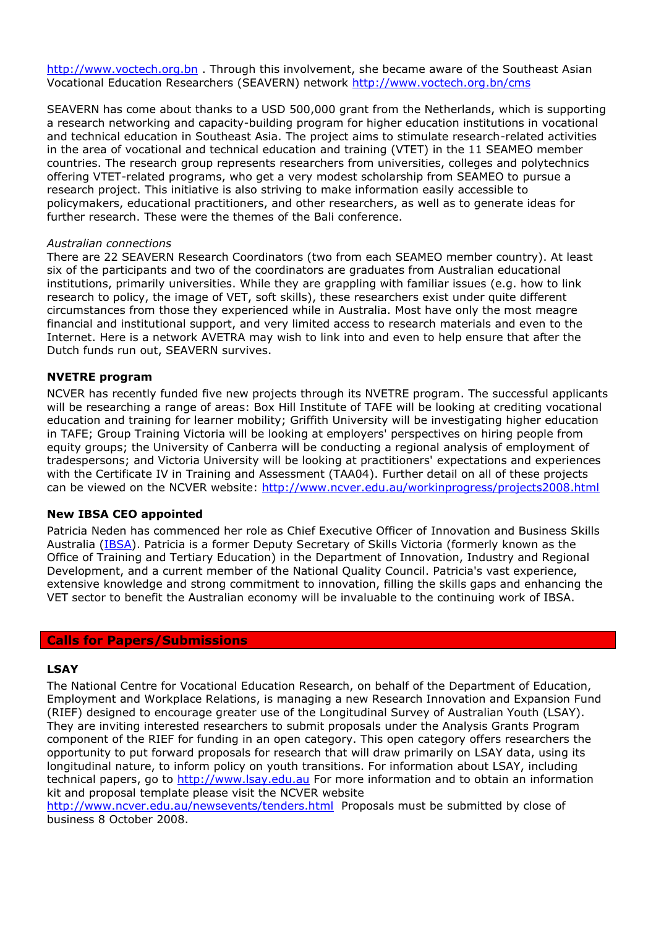[http://www.voctech.org.bn](http://www.voctech.org.bn/) . Through this involvement, she became aware of the Southeast Asian Vocational Education Researchers (SEAVERN) network<http://www.voctech.org.bn/cms>

SEAVERN has come about thanks to a USD 500,000 grant from the Netherlands, which is supporting a research networking and capacity-building program for higher education institutions in vocational and technical education in Southeast Asia. The project aims to stimulate research-related activities in the area of vocational and technical education and training (VTET) in the 11 SEAMEO member countries. The research group represents researchers from universities, colleges and polytechnics offering VTET-related programs, who get a very modest scholarship from SEAMEO to pursue a research project. This initiative is also striving to make information easily accessible to policymakers, educational practitioners, and other researchers, as well as to generate ideas for further research. These were the themes of the Bali conference.

### *Australian connections*

There are 22 SEAVERN Research Coordinators (two from each SEAMEO member country). At least six of the participants and two of the coordinators are graduates from Australian educational institutions, primarily universities. While they are grappling with familiar issues (e.g. how to link research to policy, the image of VET, soft skills), these researchers exist under quite different circumstances from those they experienced while in Australia. Most have only the most meagre financial and institutional support, and very limited access to research materials and even to the Internet. Here is a network AVETRA may wish to link into and even to help ensure that after the Dutch funds run out, SEAVERN survives.

#### **NVETRE program**

NCVER has recently funded five new projects through its NVETRE program. The successful applicants will be researching a range of areas: Box Hill Institute of TAFE will be looking at crediting vocational education and training for learner mobility; Griffith University will be investigating higher education in TAFE; Group Training Victoria will be looking at employers' perspectives on hiring people from equity groups; the University of Canberra will be conducting a regional analysis of employment of tradespersons; and Victoria University will be looking at practitioners' expectations and experiences with the Certificate IV in Training and Assessment (TAA04). Further detail on all of these projects can be viewed on the NCVER website: <http://www.ncver.edu.au/workinprogress/projects2008.html>

### **New IBSA CEO appointed**

Patricia Neden has commenced her role as Chief Executive Officer of Innovation and Business Skills Australia [\(IBSA\)](http://www.ibsa.org.au/index.jsp). Patricia is a former Deputy Secretary of Skills Victoria (formerly known as the Office of Training and Tertiary Education) in the Department of Innovation, Industry and Regional Development, and a current member of the National Quality Council. Patricia's vast experience, extensive knowledge and strong commitment to innovation, filling the skills gaps and enhancing the VET sector to benefit the Australian economy will be invaluable to the continuing work of IBSA.

#### **Calls for Papers/Submissions**

#### **LSAY**

The National Centre for Vocational Education Research, on behalf of the Department of Education, Employment and Workplace Relations, is managing a new Research Innovation and Expansion Fund (RIEF) designed to encourage greater use of the Longitudinal Survey of Australian Youth (LSAY). They are inviting interested researchers to submit proposals under the Analysis Grants Program component of the RIEF for funding in an open category. This open category offers researchers the opportunity to put forward proposals for research that will draw primarily on LSAY data, using its longitudinal nature, to inform policy on youth transitions. For information about LSAY, including technical papers, go to [http://www.lsay.edu.au](http://www.lsay.edu.au/) For more information and to obtain an information kit and proposal template please visit the NCVER website

<http://www.ncver.edu.au/newsevents/tenders.html> Proposals must be submitted by close of business 8 October 2008.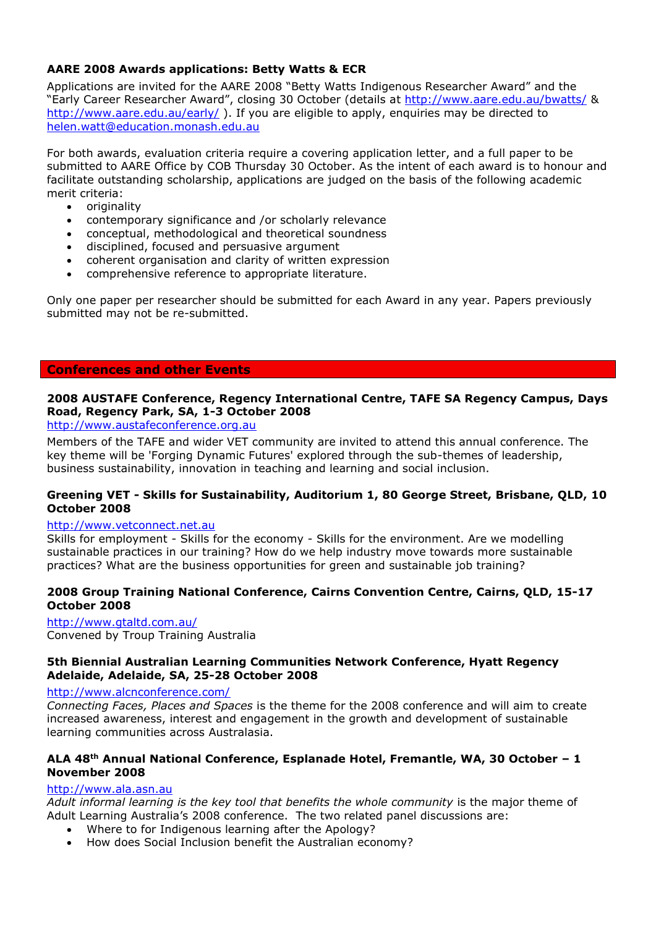## **AARE 2008 Awards applications: Betty Watts & ECR**

Applications are invited for the AARE 2008 "Betty Watts Indigenous Researcher Award" and the "Early Career Researcher Award", closing 30 October (details at<http://www.aare.edu.au/bwatts/> & <http://www.aare.edu.au/early/>). If you are eligible to apply, enquiries may be directed to [helen.watt@education.monash.edu.au](mailto:helen.watt@education.monash.edu.au)

For both awards, evaluation criteria require a covering application letter, and a full paper to be submitted to AARE Office by COB Thursday 30 October. As the intent of each award is to honour and facilitate outstanding scholarship, applications are judged on the basis of the following academic merit criteria:

- originality
- contemporary significance and /or scholarly relevance
- conceptual, methodological and theoretical soundness
- disciplined, focused and persuasive argument
- coherent organisation and clarity of written expression
- comprehensive reference to appropriate literature.

Only one paper per researcher should be submitted for each Award in any year. Papers previously submitted may not be re-submitted.

### **Conferences and other Events**

### **2008 AUSTAFE Conference, Regency International Centre, TAFE SA Regency Campus, Days Road, Regency Park, SA, 1-3 October 2008**

[http://www.austafeconference.org.au](http://www.austafeconference.org.au/)

Members of the TAFE and wider VET community are invited to attend this annual conference. The key theme will be 'Forging Dynamic Futures' explored through the sub-themes of leadership, business sustainability, innovation in teaching and learning and social inclusion.

### **Greening VET - Skills for Sustainability, Auditorium 1, 80 George Street, Brisbane, QLD, 10 October 2008**

### [http://www.vetconnect.net.au](http://www.vetconnect.net.au/)

Skills for employment - Skills for the economy - Skills for the environment. Are we modelling sustainable practices in our training? How do we help industry move towards more sustainable practices? What are the business opportunities for green and sustainable job training?

### **2008 Group Training National Conference, Cairns Convention Centre, Cairns, QLD, 15-17 October 2008**

<http://www.gtaltd.com.au/> Convened by Troup Training Australia

### **5th Biennial Australian Learning Communities Network Conference, Hyatt Regency Adelaide, Adelaide, SA, 25-28 October 2008**

### <http://www.alcnconference.com/>

*Connecting Faces, Places and Spaces* is the theme for the 2008 conference and will aim to create increased awareness, interest and engagement in the growth and development of sustainable learning communities across Australasia.

### **ALA 48th Annual National Conference, Esplanade Hotel, Fremantle, WA, 30 October – 1 November 2008**

### [http://www.ala.asn.au](http://www.ala.asn.au/)

*Adult informal learning is the key tool that benefits the whole community* is the major theme of Adult Learning Australia's 2008 conference. The two related panel discussions are:

- Where to for Indigenous learning after the Apology?
- How does Social Inclusion benefit the Australian economy?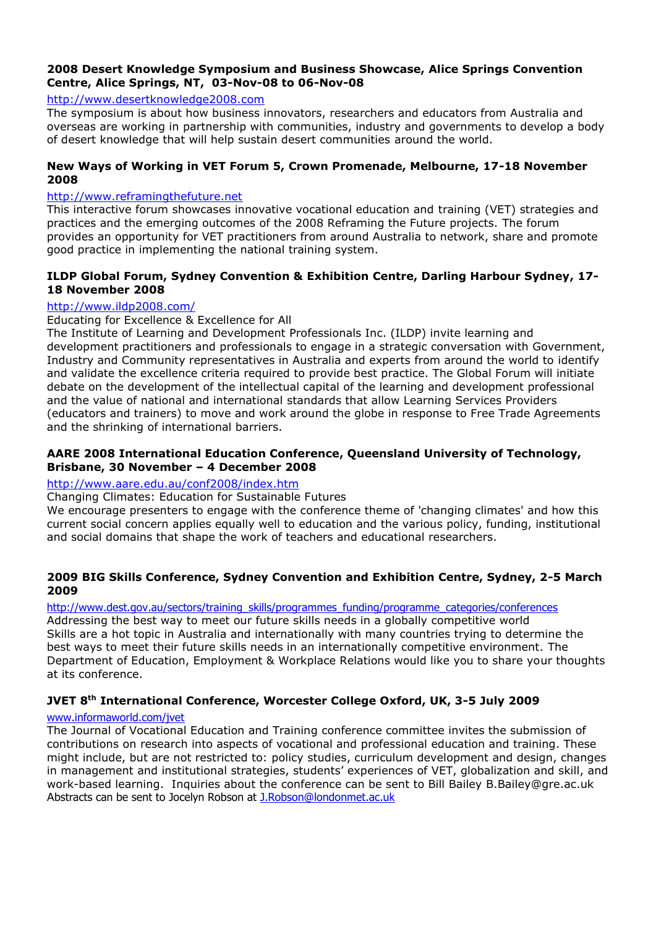### **2008 Desert Knowledge Symposium and Business Showcase, Alice Springs Convention Centre, Alice Springs, NT, 03-Nov-08 to 06-Nov-08**

### [http://www.desertknowledge2008.com](http://www.desertknowledge2008.com/)

The symposium is about how business innovators, researchers and educators from Australia and overseas are working in partnership with communities, industry and governments to develop a body of desert knowledge that will help sustain desert communities around the world.

### **New Ways of Working in VET Forum 5, Crown Promenade, Melbourne, 17-18 November 2008**

### [http://www.reframingthefuture.net](http://www.reframingthefuture.net/)

This interactive forum showcases innovative vocational education and training (VET) strategies and practices and the emerging outcomes of the 2008 Reframing the Future projects. The forum provides an opportunity for VET practitioners from around Australia to network, share and promote good practice in implementing the national training system.

### **ILDP Global Forum, Sydney Convention & Exhibition Centre, Darling Harbour Sydney, 17- 18 November 2008**

## <http://www.ildp2008.com/>

## Educating for Excellence & Excellence for All

The Institute of Learning and Development Professionals Inc. (ILDP) invite learning and development practitioners and professionals to engage in a strategic conversation with Government, Industry and Community representatives in Australia and experts from around the world to identify and validate the excellence criteria required to provide best practice. The Global Forum will initiate debate on the development of the intellectual capital of the learning and development professional and the value of national and international standards that allow Learning Services Providers (educators and trainers) to move and work around the globe in response to Free Trade Agreements and the shrinking of international barriers.

## **AARE 2008 International Education Conference, Queensland University of Technology, Brisbane, 30 November – 4 December 2008**

## <http://www.aare.edu.au/conf2008/index.htm>

### Changing Climates: Education for Sustainable Futures

We encourage presenters to engage with the conference theme of 'changing climates' and how this current social concern applies equally well to education and the various policy, funding, institutional and social domains that shape the work of teachers and educational researchers.

### **2009 BIG Skills Conference, Sydney Convention and Exhibition Centre, Sydney, 2-5 March 2009**

### [http://www.dest.gov.au/sectors/training\\_skills/programmes\\_funding/programme\\_categories/conferences](http://www.dest.gov.au/sectors/training_skills/programmes_funding/programme_categories/conferences)

Addressing the best way to meet our future skills needs in a globally competitive world Skills are a hot topic in Australia and internationally with many countries trying to determine the best ways to meet their future skills needs in an internationally competitive environment. The Department of Education, Employment & Workplace Relations would like you to share your thoughts at its conference.

## **JVET 8th International Conference, Worcester College Oxford, UK, 3-5 July 2009**

### [www.informaworld.com/jvet](http://www.informaworld.com/jvet)

The Journal of Vocational Education and Training conference committee invites the submission of contributions on research into aspects of vocational and professional education and training. These might include, but are not restricted to: policy studies, curriculum development and design, changes in management and institutional strategies, students' experiences of VET, globalization and skill, and work-based learning. Inquiries about the conference can be sent to Bill Bailey B.Bailey@gre.ac.uk Abstracts can be sent to Jocelyn Robson at [J.Robson@londonmet.ac.uk](mailto:J.Robson@londonmet.ac.uk)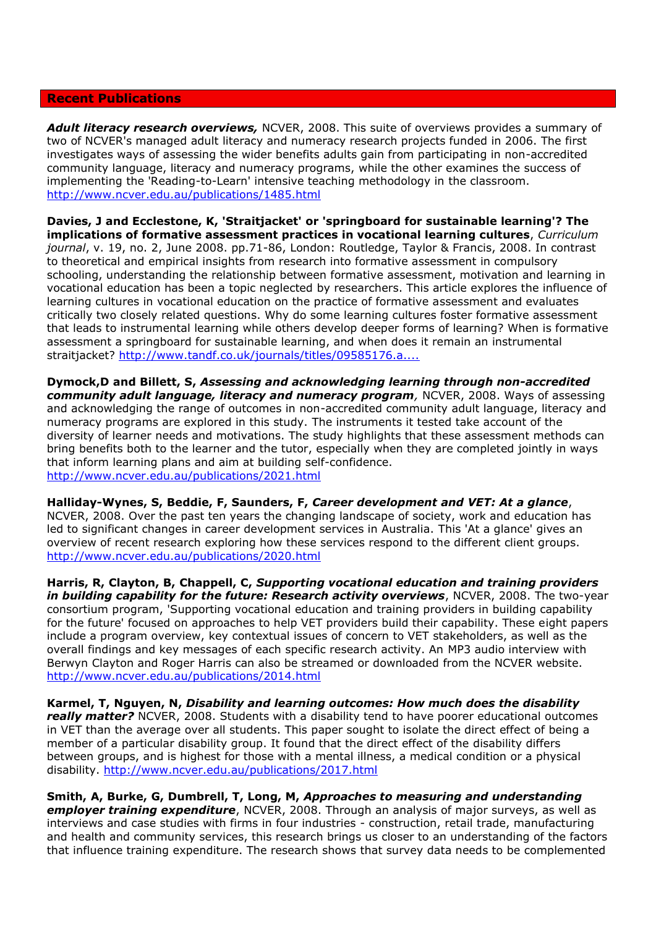#### **Recent Publications**

*Adult literacy research overviews,* NCVER, 2008. This suite of overviews provides a summary of two of NCVER's managed adult literacy and numeracy research projects funded in 2006. The first investigates ways of assessing the wider benefits adults gain from participating in non-accredited community language, literacy and numeracy programs, while the other examines the success of implementing the 'Reading-to-Learn' intensive teaching methodology in the classroom. <http://www.ncver.edu.au/publications/1485.html>

**Davies, J and Ecclestone, K, 'Straitjacket' or 'springboard for sustainable learning'? The implications of formative assessment practices in vocational learning cultures**, *Curriculum journal*, v. 19, no. 2, June 2008. pp.71-86, London: Routledge, Taylor & Francis, 2008. In contrast to theoretical and empirical insights from research into formative assessment in compulsory schooling, understanding the relationship between formative assessment, motivation and learning in vocational education has been a topic neglected by researchers. This article explores the influence of learning cultures in vocational education on the practice of formative assessment and evaluates critically two closely related questions. Why do some learning cultures foster formative assessment that leads to instrumental learning while others develop deeper forms of learning? When is formative assessment a springboard for sustainable learning, and when does it remain an instrumental straitjacket? [http://www.tandf.co.uk/journals/titles/09585176.a....](http://www.tandf.co.uk/journals/titles/09585176.asp)

**Dymock,D and Billett, S,** *Assessing and acknowledging learning through non-accredited community adult language, literacy and numeracy program,* NCVER, 2008. Ways of assessing and acknowledging the range of outcomes in non-accredited community adult language, literacy and numeracy programs are explored in this study. The instruments it tested take account of the diversity of learner needs and motivations. The study highlights that these assessment methods can bring benefits both to the learner and the tutor, especially when they are completed jointly in ways that inform learning plans and aim at building self-confidence. <http://www.ncver.edu.au/publications/2021.html>

**Halliday-Wynes, S, Beddie, F, Saunders, F,** *Career development and VET: At a glance*, NCVER, 2008. Over the past ten years the changing landscape of society, work and education has led to significant changes in career development services in Australia. This 'At a glance' gives an overview of recent research exploring how these services respond to the different client groups. <http://www.ncver.edu.au/publications/2020.html>

**Harris, R, Clayton, B, Chappell, C,** *Supporting vocational education and training providers in building capability for the future: Research activity overviews*, NCVER, 2008. The two-year consortium program, 'Supporting vocational education and training providers in building capability for the future' focused on approaches to help VET providers build their capability. These eight papers include a program overview, key contextual issues of concern to VET stakeholders, as well as the overall findings and key messages of each specific research activity. An MP3 audio interview with Berwyn Clayton and Roger Harris can also be streamed or downloaded from the NCVER website. <http://www.ncver.edu.au/publications/2014.html>

**Karmel, T, Nguyen, N,** *Disability and learning outcomes: How much does the disability really matter?* NCVER, 2008. Students with a disability tend to have poorer educational outcomes in VET than the average over all students. This paper sought to isolate the direct effect of being a member of a particular disability group. It found that the direct effect of the disability differs between groups, and is highest for those with a mental illness, a medical condition or a physical disability. <http://www.ncver.edu.au/publications/2017.html>

**Smith, A, Burke, G, Dumbrell, T, Long, M,** *Approaches to measuring and understanding employer training expenditure*, NCVER, 2008. Through an analysis of major surveys, as well as interviews and case studies with firms in four industries - construction, retail trade, manufacturing and health and community services, this research brings us closer to an understanding of the factors that influence training expenditure. The research shows that survey data needs to be complemented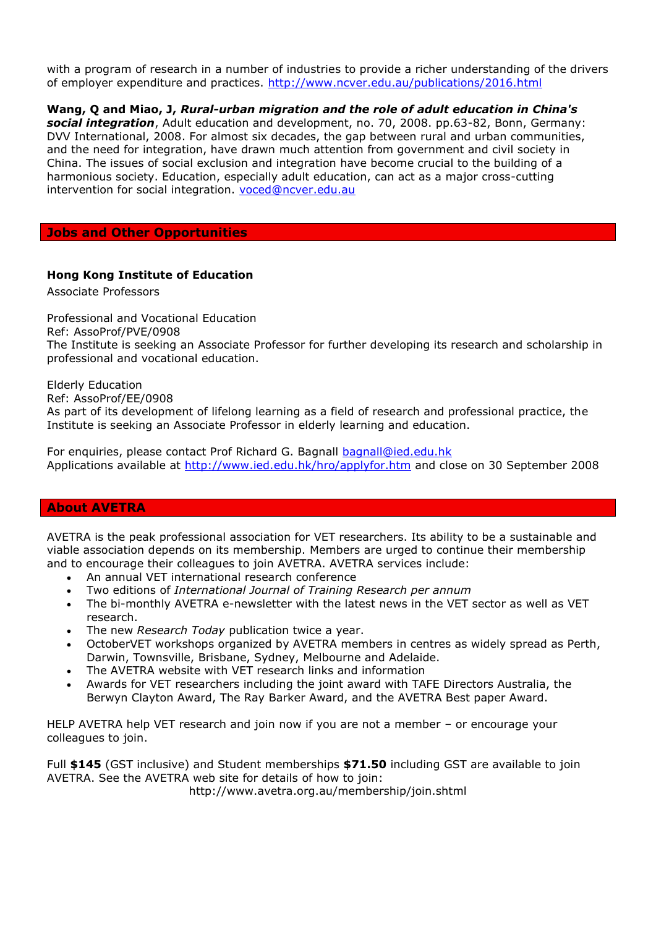with a program of research in a number of industries to provide a richer understanding of the drivers of employer expenditure and practices. <http://www.ncver.edu.au/publications/2016.html>

## **Wang, Q and Miao, J,** *Rural-urban migration and the role of adult education in China's*

*social integration*, Adult education and development, no. 70, 2008. pp.63-82, Bonn, Germany: DVV International, 2008. For almost six decades, the gap between rural and urban communities, and the need for integration, have drawn much attention from government and civil society in China. The issues of social exclusion and integration have become crucial to the building of a harmonious society. Education, especially adult education, can act as a major cross-cutting intervention for social integration. [voced@ncver.edu.au](mailto:voced@ncver.edu.au)

### **Jobs and Other Opportunities**

### **Hong Kong Institute of Education**

Associate Professors

Professional and Vocational Education Ref: AssoProf/PVE/0908 The Institute is seeking an Associate Professor for further developing its research and scholarship in professional and vocational education.

Elderly Education

Ref: AssoProf/EE/0908

As part of its development of lifelong learning as a field of research and professional practice, the Institute is seeking an Associate Professor in elderly learning and education.

For enquiries, please contact Prof Richard G. Bagnall **bagnall@ied.edu.hk** Applications available at<http://www.ied.edu.hk/hro/applyfor.htm> and close on 30 September 2008

### **About AVETRA**

AVETRA is the peak professional association for VET researchers. Its ability to be a sustainable and viable association depends on its membership. Members are urged to continue their membership and to encourage their colleagues to join AVETRA. AVETRA services include:

- An annual VET international research conference
- Two editions of *International Journal of Training Research per annum*
- The bi-monthly AVETRA e-newsletter with the latest news in the VET sector as well as VET research.
- The new *Research Today* publication twice a year.
- OctoberVET workshops organized by AVETRA members in centres as widely spread as Perth, Darwin, Townsville, Brisbane, Sydney, Melbourne and Adelaide.
- The AVETRA website with VET research links and information
- Awards for VET researchers including the joint award with TAFE Directors Australia, the Berwyn Clayton Award, The Ray Barker Award, and the AVETRA Best paper Award.

HELP AVETRA help VET research and join now if you are not a member – or encourage your colleagues to join.

Full **\$145** (GST inclusive) and Student memberships **\$71.50** including GST are available to join AVETRA. See the AVETRA web site for details of how to join:

http://www.avetra.org.au/membership/join.shtml